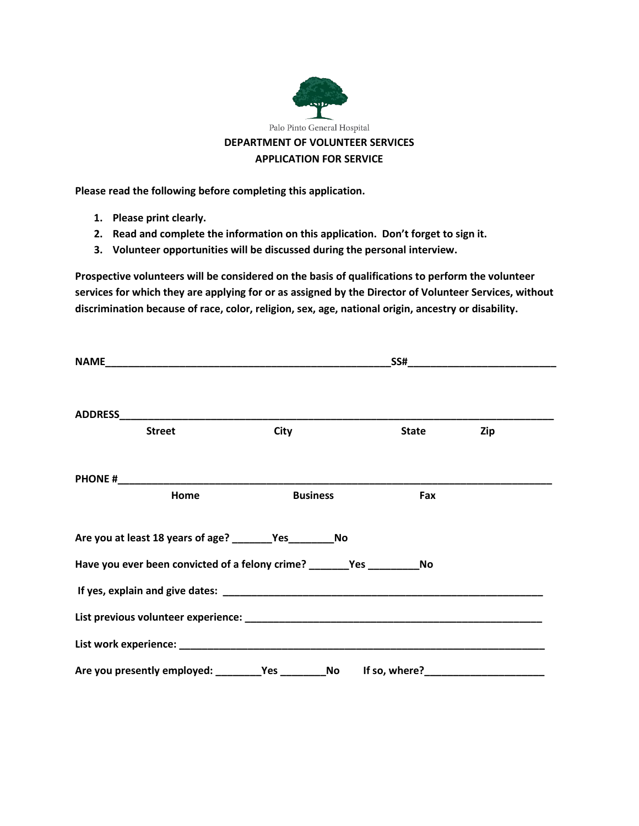

**Please read the following before completing this application.**

- **1. Please print clearly.**
- **2. Read and complete the information on this application. Don't forget to sign it.**
- **3. Volunteer opportunities will be discussed during the personal interview.**

**Prospective volunteers will be considered on the basis of qualifications to perform the volunteer services for which they are applying for or as assigned by the Director of Volunteer Services, without discrimination because of race, color, religion, sex, age, national origin, ancestry or disability.**

| <b>Street</b> | City                                                                        | <b>State</b> | Zip |  |
|---------------|-----------------------------------------------------------------------------|--------------|-----|--|
|               |                                                                             |              |     |  |
| Home          | <b>Business</b>                                                             | Fax          |     |  |
|               | Are you at least 18 years of age? ________Yes____________No                 |              |     |  |
|               | Have you ever been convicted of a felony crime? ________Yes _____________No |              |     |  |
|               |                                                                             |              |     |  |
|               |                                                                             |              |     |  |
|               |                                                                             |              |     |  |
|               |                                                                             |              |     |  |